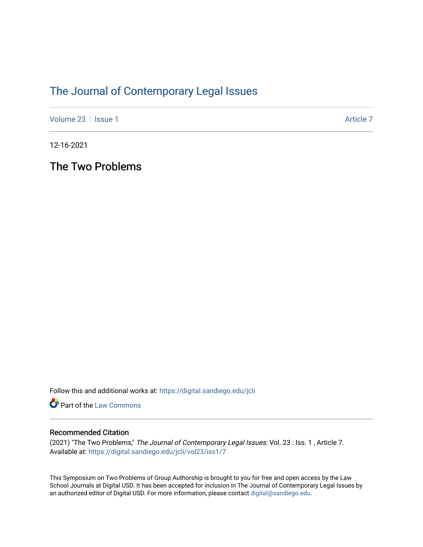## [The Journal of Contemporary Legal Issues](https://digital.sandiego.edu/jcli)

[Volume 23](https://digital.sandiego.edu/jcli/vol23) | [Issue 1](https://digital.sandiego.edu/jcli/vol23/iss1) Article 7

12-16-2021

The Two Problems

Follow this and additional works at: [https://digital.sandiego.edu/jcli](https://digital.sandiego.edu/jcli?utm_source=digital.sandiego.edu%2Fjcli%2Fvol23%2Fiss1%2F7&utm_medium=PDF&utm_campaign=PDFCoverPages) 

Part of the [Law Commons](http://network.bepress.com/hgg/discipline/578?utm_source=digital.sandiego.edu%2Fjcli%2Fvol23%2Fiss1%2F7&utm_medium=PDF&utm_campaign=PDFCoverPages)

## Recommended Citation

(2021) "The Two Problems," The Journal of Contemporary Legal Issues: Vol. 23 : Iss. 1 , Article 7. Available at: [https://digital.sandiego.edu/jcli/vol23/iss1/7](https://digital.sandiego.edu/jcli/vol23/iss1/7?utm_source=digital.sandiego.edu%2Fjcli%2Fvol23%2Fiss1%2F7&utm_medium=PDF&utm_campaign=PDFCoverPages)

This Symposium on Two Problems of Group Authorship is brought to you for free and open access by the Law School Journals at Digital USD. It has been accepted for inclusion in The Journal of Contemporary Legal Issues by an authorized editor of Digital USD. For more information, please contact [digital@sandiego.edu](mailto:digital@sandiego.edu).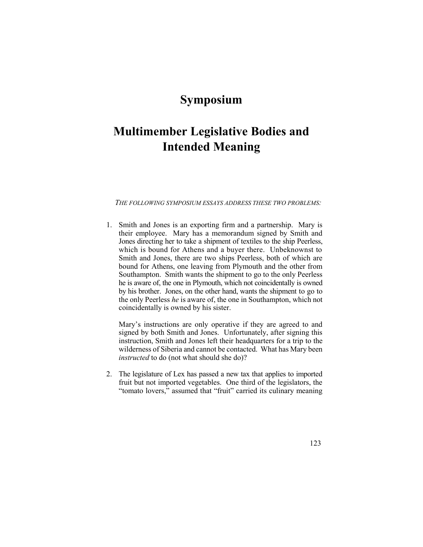## **Symposium**

## **Multimember Legislative Bodies and Intended Meaning**

 *THE FOLLOWING SYMPOSIUM ESSAYS ADDRESS THESE TWO PROBLEMS:* 

 1. Smith and Jones is an exporting firm and a partnership. Mary is their employee. Mary has a memorandum signed by Smith and Jones directing her to take a shipment of textiles to the ship Peerless, which is bound for Athens and a buyer there. Unbeknownst to Smith and Jones, there are two ships Peerless, both of which are bound for Athens, one leaving from Plymouth and the other from Southampton. Smith wants the shipment to go to the only Peerless he is aware of, the one in Plymouth, which not coincidentally is owned by his brother. Jones, on the other hand, wants the shipment to go to the only Peerless *he* is aware of, the one in Southampton, which not coincidentally is owned by his sister.

 Mary's instructions are only operative if they are agreed to and signed by both Smith and Jones. Unfortunately, after signing this instruction, Smith and Jones left their headquarters for a trip to the wilderness of Siberia and cannot be contacted. What has Mary been *instructed* to do (not what should she do)?

2. The legislature of Lex has passed a new tax that applies to imported fruit but not imported vegetables. One third of the legislators, the "tomato lovers," assumed that "fruit" carried its culinary meaning

123